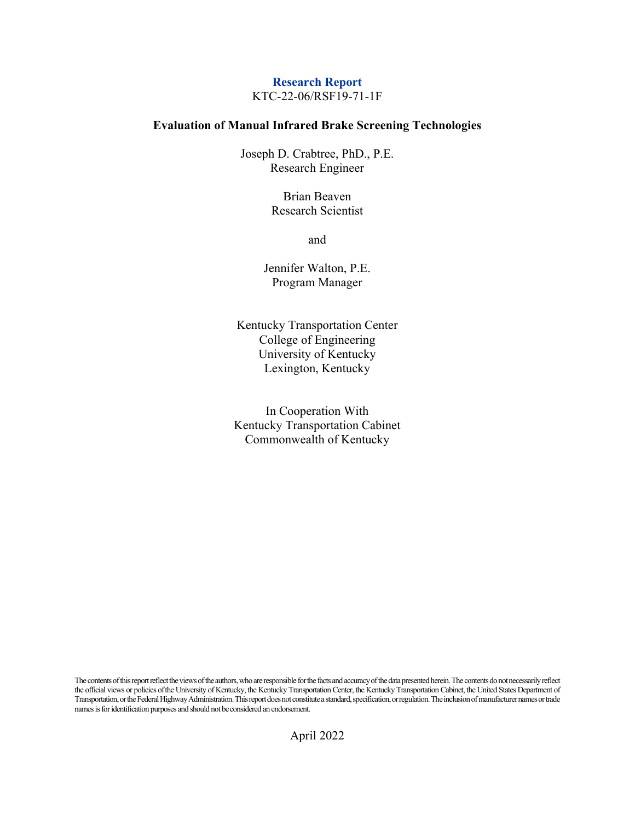## **Research Report** KTC-22-06/RSF19-71-1F

## **Evaluation of Manual Infrared Brake Screening Technologies**

Joseph D. Crabtree, PhD., P.E. Research Engineer

> Brian Beaven Research Scientist

> > and

Jennifer Walton, P.E. Program Manager

Kentucky Transportation Center College of Engineering University of Kentucky Lexington, Kentucky

In Cooperation With Kentucky Transportation Cabinet Commonwealth of Kentucky

The contents of this report reflect the views of the authors, who are responsible for the facts and accuracy of the data presented herein. The contents do not necessarily reflect the official views or policies of the University of Kentucky, the Kentucky Transportation Center, the Kentucky Transportation Cabinet, the United States Department of Transportation, or the Federal Highway Administration. This report does not constitute a standard, specification, or regulation. The inclusion of manufacturer names or trade names is for identification purposes and should not be considered an endorsement.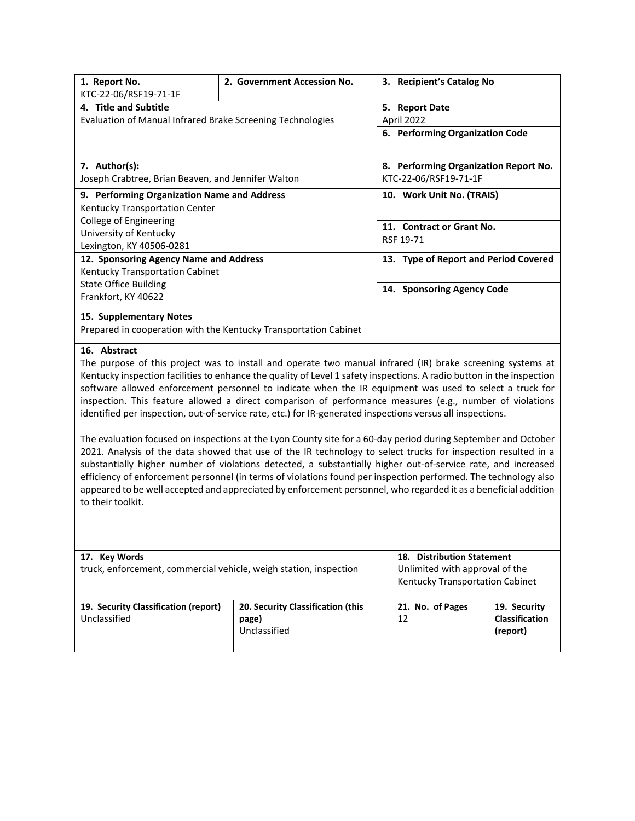| 1. Report No.                                                                                                         | 2. Government Accession No.                                      | 3. Recipient's Catalog No                     |  |
|-----------------------------------------------------------------------------------------------------------------------|------------------------------------------------------------------|-----------------------------------------------|--|
| KTC-22-06/RSF19-71-1F<br>4. Title and Subtitle                                                                        |                                                                  | 5. Report Date                                |  |
| Evaluation of Manual Infrared Brake Screening Technologies                                                            |                                                                  | April 2022<br>6. Performing Organization Code |  |
|                                                                                                                       |                                                                  |                                               |  |
| 7. Author(s):                                                                                                         |                                                                  | 8. Performing Organization Report No.         |  |
| Joseph Crabtree, Brian Beaven, and Jennifer Walton                                                                    |                                                                  | KTC-22-06/RSF19-71-1F                         |  |
| 9. Performing Organization Name and Address                                                                           |                                                                  | 10. Work Unit No. (TRAIS)                     |  |
| Kentucky Transportation Center                                                                                        |                                                                  |                                               |  |
| College of Engineering                                                                                                |                                                                  | 11. Contract or Grant No.                     |  |
| University of Kentucky                                                                                                |                                                                  | RSF 19-71                                     |  |
| Lexington, KY 40506-0281                                                                                              |                                                                  |                                               |  |
| 12. Sponsoring Agency Name and Address                                                                                |                                                                  | 13. Type of Report and Period Covered         |  |
| Kentucky Transportation Cabinet                                                                                       |                                                                  |                                               |  |
| <b>State Office Building</b>                                                                                          |                                                                  | 14. Sponsoring Agency Code                    |  |
| Frankfort, KY 40622                                                                                                   |                                                                  |                                               |  |
| 15. Supplementary Notes                                                                                               |                                                                  |                                               |  |
|                                                                                                                       | Prepared in cooperation with the Kentucky Transportation Cabinet |                                               |  |
| 16. Abstract                                                                                                          |                                                                  |                                               |  |
| The purpose of this project was to install and operate two manual infrared (IR) brake screening systems at            |                                                                  |                                               |  |
| Kentucky inspection facilities to enhance the quality of Level 1 safety inspections. A radio button in the inspection |                                                                  |                                               |  |
| software allowed enforcement personnel to indicate when the IR equipment was used to select a truck for               |                                                                  |                                               |  |
| inspection. This feature allowed a direct comparison of performance measures (e.g., number of violations              |                                                                  |                                               |  |
| identified per inspection, out-of-service rate, etc.) for IR-generated inspections versus all inspections.            |                                                                  |                                               |  |
| The evaluation focused on inspections at the Lyon County site for a 60-day period during September and October        |                                                                  |                                               |  |

2021. Analysis of the data showed that use of the IR technology to select trucks for inspection resulted in a substantially higher number of violations detected, a substantially higher out-of-service rate, and increased efficiency of enforcement personnel (in terms of violations found per inspection performed. The technology also appeared to be well accepted and appreciated by enforcement personnel, who regarded it as a beneficial addition to their toolkit.

| 17. Key Words<br>truck, enforcement, commercial vehicle, weigh station, inspection |                                                            | <b>Distribution Statement</b><br>18.<br>Unlimited with approval of the<br>Kentucky Transportation Cabinet |                                            |
|------------------------------------------------------------------------------------|------------------------------------------------------------|-----------------------------------------------------------------------------------------------------------|--------------------------------------------|
| 19. Security Classification (report)<br>Unclassified                               | 20. Security Classification (this<br>page)<br>Unclassified | 21. No. of Pages<br>12                                                                                    | 19. Security<br>Classification<br>(report) |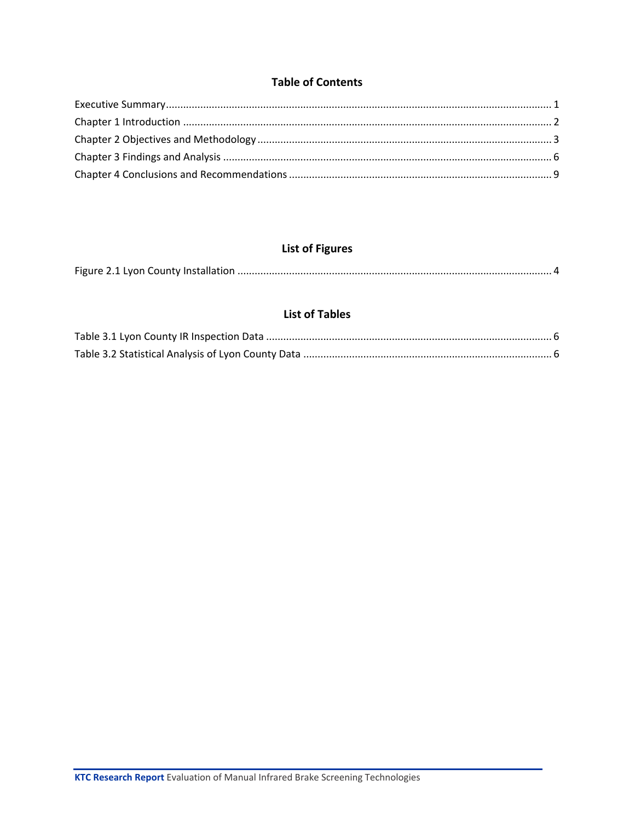## **Table of Contents**

# **List of Figures**

|--|--|

## **List of Tables**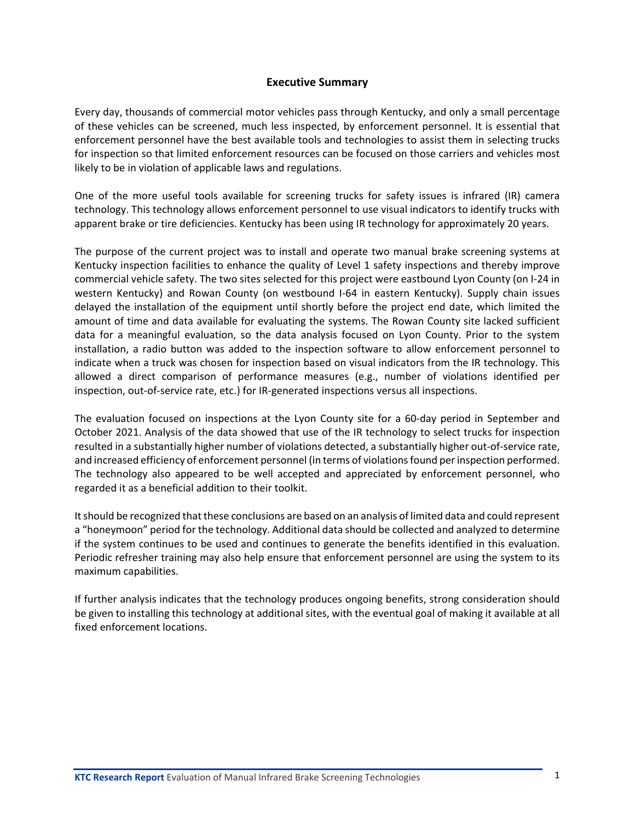#### **Executive Summary**

<span id="page-3-0"></span>Every day, thousands of commercial motor vehicles pass through Kentucky, and only a small percentage of these vehicles can be screened, much less inspected, by enforcement personnel. It is essential that enforcement personnel have the best available tools and technologies to assist them in selecting trucks for inspection so that limited enforcement resources can be focused on those carriers and vehicles most likely to be in violation of applicable laws and regulations.

One of the more useful tools available for screening trucks for safety issues is infrared (IR) camera technology. This technology allows enforcement personnel to use visual indicators to identify trucks with apparent brake or tire deficiencies. Kentucky has been using IR technology for approximately 20 years.

The purpose of the current project was to install and operate two manual brake screening systems at Kentucky inspection facilities to enhance the quality of Level 1 safety inspections and thereby improve commercial vehicle safety. The two sites selected for this project were eastbound Lyon County (on I-24 in western Kentucky) and Rowan County (on westbound I-64 in eastern Kentucky). Supply chain issues delayed the installation of the equipment until shortly before the project end date, which limited the amount of time and data available for evaluating the systems. The Rowan County site lacked sufficient data for a meaningful evaluation, so the data analysis focused on Lyon County. Prior to the system installation, a radio button was added to the inspection software to allow enforcement personnel to indicate when a truck was chosen for inspection based on visual indicators from the IR technology. This allowed a direct comparison of performance measures (e.g., number of violations identified per inspection, out-of-service rate, etc.) for IR-generated inspections versus all inspections.

The evaluation focused on inspections at the Lyon County site for a 60-day period in September and October 2021. Analysis of the data showed that use of the IR technology to select trucks for inspection resulted in a substantially higher number of violations detected, a substantially higher out-of-service rate, and increased efficiency of enforcement personnel (in terms of violations found per inspection performed. The technology also appeared to be well accepted and appreciated by enforcement personnel, who regarded it as a beneficial addition to their toolkit.

It should be recognized that these conclusions are based on an analysis of limited data and could represent a "honeymoon" period for the technology. Additional data should be collected and analyzed to determine if the system continues to be used and continues to generate the benefits identified in this evaluation. Periodic refresher training may also help ensure that enforcement personnel are using the system to its maximum capabilities.

If further analysis indicates that the technology produces ongoing benefits, strong consideration should be given to installing this technology at additional sites, with the eventual goal of making it available at all fixed enforcement locations.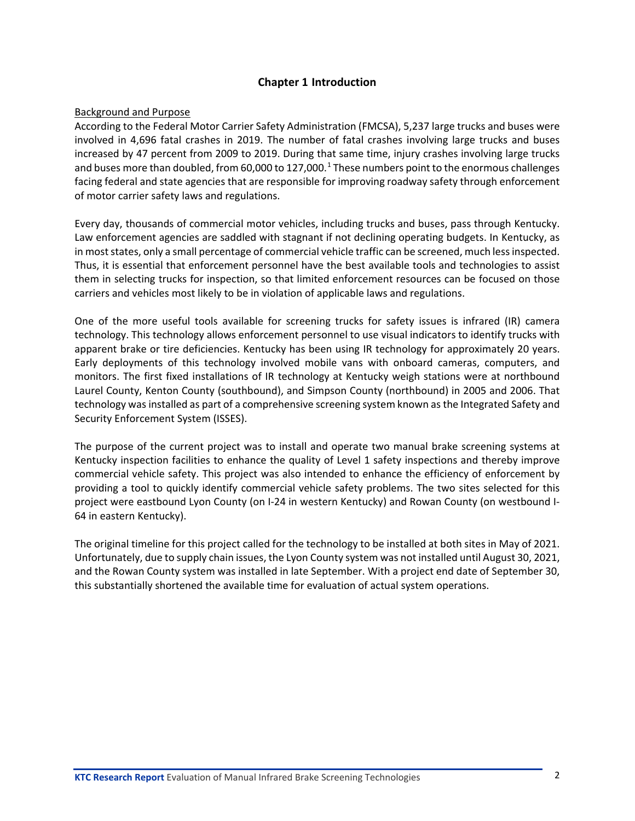## **Chapter 1 Introduction**

#### <span id="page-4-0"></span>Background and Purpose

According to the Federal Motor Carrier Safety Administration (FMCSA), 5,237 large trucks and buses were involved in 4,696 fatal crashes in 2019. The number of fatal crashes involving large trucks and buses increased by 47 percent from 2009 to 2019. During that same time, injury crashes involving large trucks and buses more than doubled, from 60,000 to [1](#page-11-1)27,000.<sup>1</sup> These numbers point to the enormous challenges facing federal and state agencies that are responsible for improving roadway safety through enforcement of motor carrier safety laws and regulations.

Every day, thousands of commercial motor vehicles, including trucks and buses, pass through Kentucky. Law enforcement agencies are saddled with stagnant if not declining operating budgets. In Kentucky, as in most states, only a small percentage of commercial vehicle traffic can be screened, much less inspected. Thus, it is essential that enforcement personnel have the best available tools and technologies to assist them in selecting trucks for inspection, so that limited enforcement resources can be focused on those carriers and vehicles most likely to be in violation of applicable laws and regulations.

One of the more useful tools available for screening trucks for safety issues is infrared (IR) camera technology. This technology allows enforcement personnel to use visual indicators to identify trucks with apparent brake or tire deficiencies. Kentucky has been using IR technology for approximately 20 years. Early deployments of this technology involved mobile vans with onboard cameras, computers, and monitors. The first fixed installations of IR technology at Kentucky weigh stations were at northbound Laurel County, Kenton County (southbound), and Simpson County (northbound) in 2005 and 2006. That technology was installed as part of a comprehensive screening system known as the Integrated Safety and Security Enforcement System (ISSES).

The purpose of the current project was to install and operate two manual brake screening systems at Kentucky inspection facilities to enhance the quality of Level 1 safety inspections and thereby improve commercial vehicle safety. This project was also intended to enhance the efficiency of enforcement by providing a tool to quickly identify commercial vehicle safety problems. The two sites selected for this project were eastbound Lyon County (on I-24 in western Kentucky) and Rowan County (on westbound I-64 in eastern Kentucky).

The original timeline for this project called for the technology to be installed at both sites in May of 2021. Unfortunately, due to supply chain issues, the Lyon County system was not installed until August 30, 2021, and the Rowan County system was installed in late September. With a project end date of September 30, this substantially shortened the available time for evaluation of actual system operations.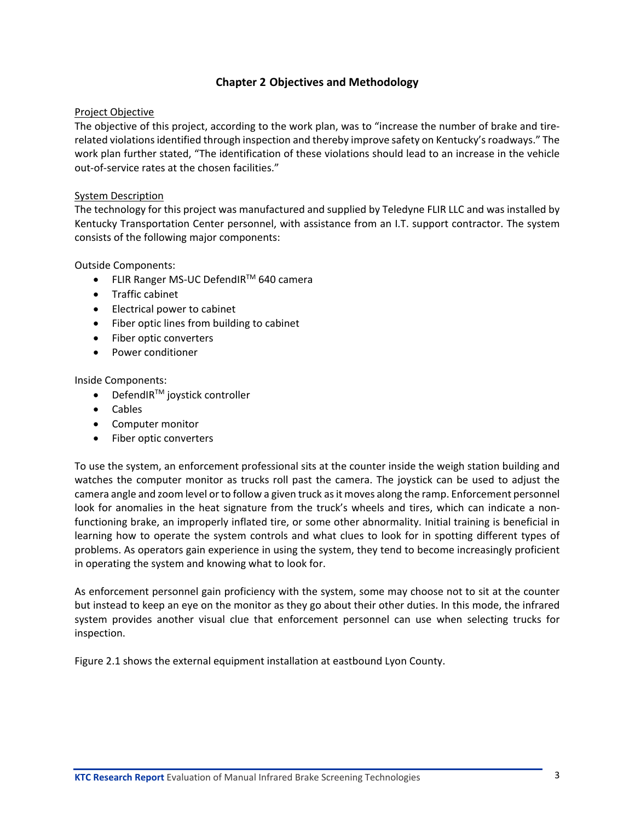## **Chapter 2 Objectives and Methodology**

#### <span id="page-5-0"></span>Project Objective

The objective of this project, according to the work plan, was to "increase the number of brake and tirerelated violations identified through inspection and thereby improve safety on Kentucky's roadways." The work plan further stated, "The identification of these violations should lead to an increase in the vehicle out-of-service rates at the chosen facilities."

#### System Description

The technology for this project was manufactured and supplied by Teledyne FLIR LLC and was installed by Kentucky Transportation Center personnel, with assistance from an I.T. support contractor. The system consists of the following major components:

Outside Components:

- FLIR Ranger MS-UC DefendIRTM 640 camera
- Traffic cabinet
- Electrical power to cabinet
- Fiber optic lines from building to cabinet
- Fiber optic converters
- Power conditioner

Inside Components:

- DefendIR $TM$  joystick controller
- Cables
- Computer monitor
- Fiber optic converters

To use the system, an enforcement professional sits at the counter inside the weigh station building and watches the computer monitor as trucks roll past the camera. The joystick can be used to adjust the camera angle and zoom level or to follow a given truck as it moves along the ramp. Enforcement personnel look for anomalies in the heat signature from the truck's wheels and tires, which can indicate a nonfunctioning brake, an improperly inflated tire, or some other abnormality. Initial training is beneficial in learning how to operate the system controls and what clues to look for in spotting different types of problems. As operators gain experience in using the system, they tend to become increasingly proficient in operating the system and knowing what to look for.

As enforcement personnel gain proficiency with the system, some may choose not to sit at the counter but instead to keep an eye on the monitor as they go about their other duties. In this mode, the infrared system provides another visual clue that enforcement personnel can use when selecting trucks for inspection.

Figure 2.1 shows the external equipment installation at eastbound Lyon County.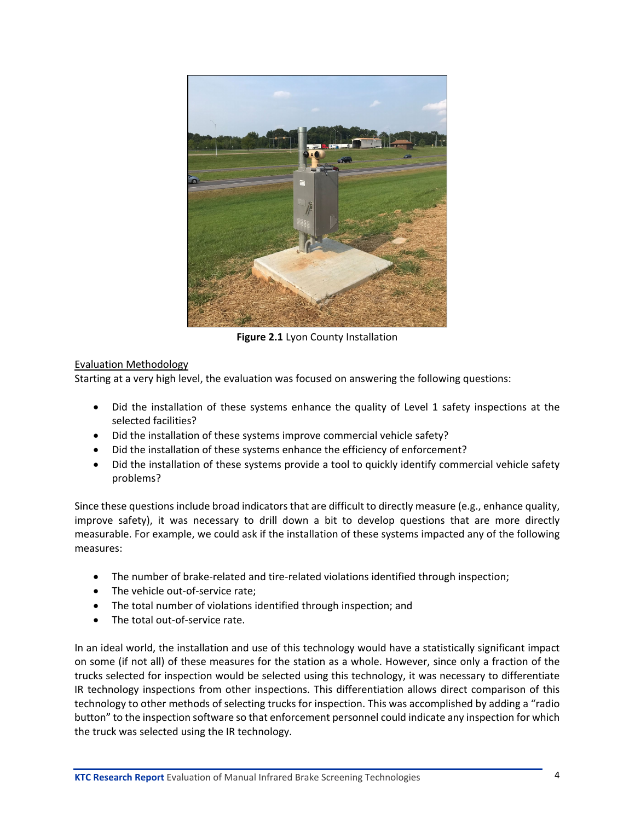

**Figure 2.1** Lyon County Installation

## <span id="page-6-0"></span>Evaluation Methodology

Starting at a very high level, the evaluation was focused on answering the following questions:

- Did the installation of these systems enhance the quality of Level 1 safety inspections at the selected facilities?
- Did the installation of these systems improve commercial vehicle safety?
- Did the installation of these systems enhance the efficiency of enforcement?
- Did the installation of these systems provide a tool to quickly identify commercial vehicle safety problems?

Since these questions include broad indicators that are difficult to directly measure (e.g., enhance quality, improve safety), it was necessary to drill down a bit to develop questions that are more directly measurable. For example, we could ask if the installation of these systems impacted any of the following measures:

- The number of brake-related and tire-related violations identified through inspection;
- The vehicle out-of-service rate;
- The total number of violations identified through inspection; and
- The total out-of-service rate.

In an ideal world, the installation and use of this technology would have a statistically significant impact on some (if not all) of these measures for the station as a whole. However, since only a fraction of the trucks selected for inspection would be selected using this technology, it was necessary to differentiate IR technology inspections from other inspections. This differentiation allows direct comparison of this technology to other methods of selecting trucks for inspection. This was accomplished by adding a "radio button" to the inspection software so that enforcement personnel could indicate any inspection for which the truck was selected using the IR technology.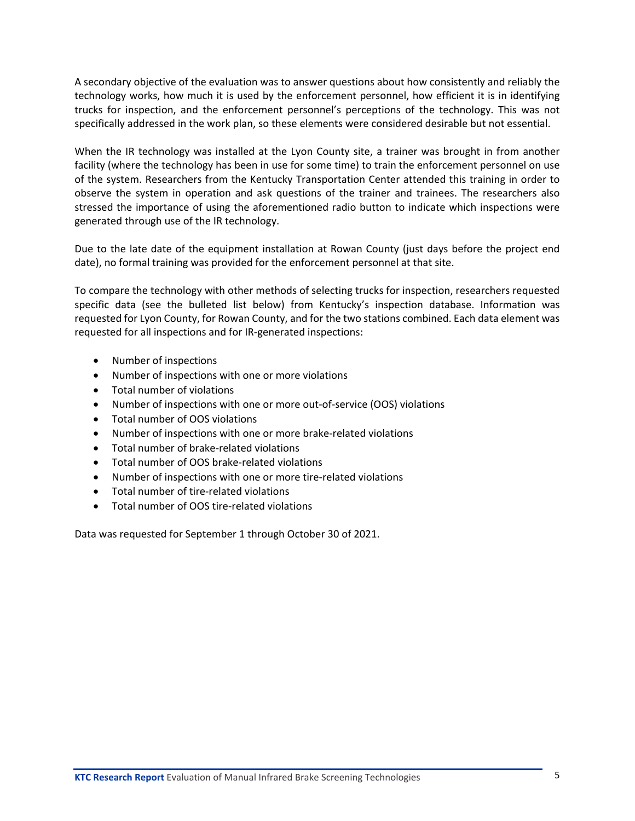A secondary objective of the evaluation was to answer questions about how consistently and reliably the technology works, how much it is used by the enforcement personnel, how efficient it is in identifying trucks for inspection, and the enforcement personnel's perceptions of the technology. This was not specifically addressed in the work plan, so these elements were considered desirable but not essential.

When the IR technology was installed at the Lyon County site, a trainer was brought in from another facility (where the technology has been in use for some time) to train the enforcement personnel on use of the system. Researchers from the Kentucky Transportation Center attended this training in order to observe the system in operation and ask questions of the trainer and trainees. The researchers also stressed the importance of using the aforementioned radio button to indicate which inspections were generated through use of the IR technology.

Due to the late date of the equipment installation at Rowan County (just days before the project end date), no formal training was provided for the enforcement personnel at that site.

To compare the technology with other methods of selecting trucks for inspection, researchers requested specific data (see the bulleted list below) from Kentucky's inspection database. Information was requested for Lyon County, for Rowan County, and for the two stations combined. Each data element was requested for all inspections and for IR-generated inspections:

- Number of inspections
- Number of inspections with one or more violations
- Total number of violations
- Number of inspections with one or more out-of-service (OOS) violations
- Total number of OOS violations
- Number of inspections with one or more brake-related violations
- Total number of brake-related violations
- Total number of OOS brake-related violations
- Number of inspections with one or more tire-related violations
- Total number of tire-related violations
- Total number of OOS tire-related violations

Data was requested for September 1 through October 30 of 2021.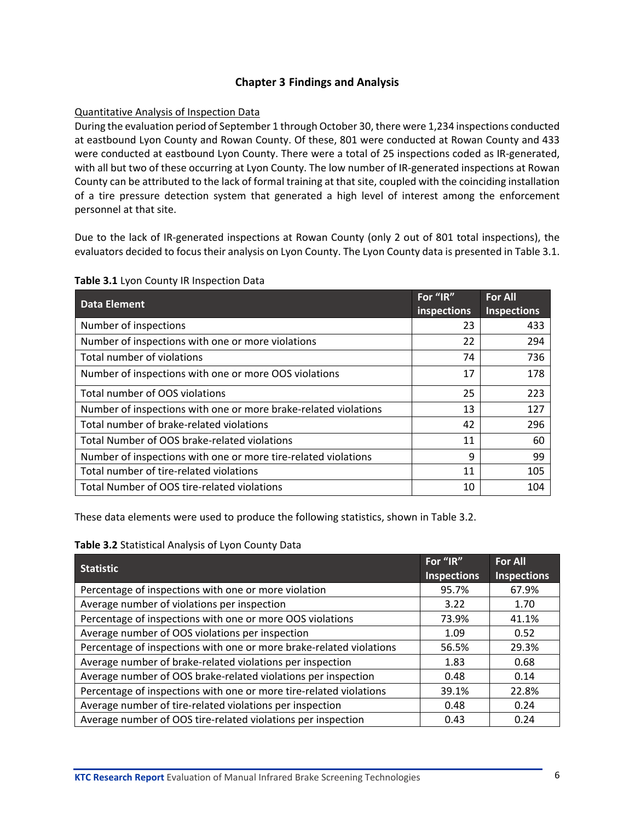## **Chapter 3 Findings and Analysis**

#### <span id="page-8-0"></span>Quantitative Analysis of Inspection Data

During the evaluation period of September 1 through October 30, there were 1,234 inspections conducted at eastbound Lyon County and Rowan County. Of these, 801 were conducted at Rowan County and 433 were conducted at eastbound Lyon County. There were a total of 25 inspections coded as IR-generated, with all but two of these occurring at Lyon County. The low number of IR-generated inspections at Rowan County can be attributed to the lack of formal training at that site, coupled with the coinciding installation of a tire pressure detection system that generated a high level of interest among the enforcement personnel at that site.

Due to the lack of IR-generated inspections at Rowan County (only 2 out of 801 total inspections), the evaluators decided to focus their analysis on Lyon County. The Lyon County data is presented in Table 3.1.

| <b>Data Element</b>                                             | For "IR"    | <b>For All</b>     |
|-----------------------------------------------------------------|-------------|--------------------|
|                                                                 | inspections | <b>Inspections</b> |
| Number of inspections                                           | 23          | 433                |
| Number of inspections with one or more violations               | 22          | 294                |
| Total number of violations                                      | 74          | 736                |
| Number of inspections with one or more OOS violations           | 17          | 178                |
| Total number of OOS violations                                  | 25          | 223                |
| Number of inspections with one or more brake-related violations | 13          | 127                |
| Total number of brake-related violations                        | 42          | 296                |
| Total Number of OOS brake-related violations                    | 11          | 60                 |
| Number of inspections with one or more tire-related violations  | 9           | 99                 |
| Total number of tire-related violations                         | 11          | 105                |
| Total Number of OOS tire-related violations                     | 10          | 104                |

#### <span id="page-8-1"></span>**Table 3.1** Lyon County IR Inspection Data

These data elements were used to produce the following statistics, shown in Table 3.2.

#### <span id="page-8-2"></span>**Table 3.2** Statistical Analysis of Lyon County Data

| <b>Statistic</b>                                                    | For "IR"           | <b>For All</b>     |
|---------------------------------------------------------------------|--------------------|--------------------|
|                                                                     | <b>Inspections</b> | <b>Inspections</b> |
| Percentage of inspections with one or more violation                | 95.7%              | 67.9%              |
| Average number of violations per inspection                         | 3.22               | 1.70               |
| Percentage of inspections with one or more OOS violations           | 73.9%              | 41.1%              |
| Average number of OOS violations per inspection                     | 1.09               | 0.52               |
| Percentage of inspections with one or more brake-related violations | 56.5%              | 29.3%              |
| Average number of brake-related violations per inspection           | 1.83               | 0.68               |
| Average number of OOS brake-related violations per inspection       | 0.48               | 0.14               |
| Percentage of inspections with one or more tire-related violations  | 39.1%              | 22.8%              |
| Average number of tire-related violations per inspection            | 0.48               | 0.24               |
| Average number of OOS tire-related violations per inspection        | 0.43               | 0.24               |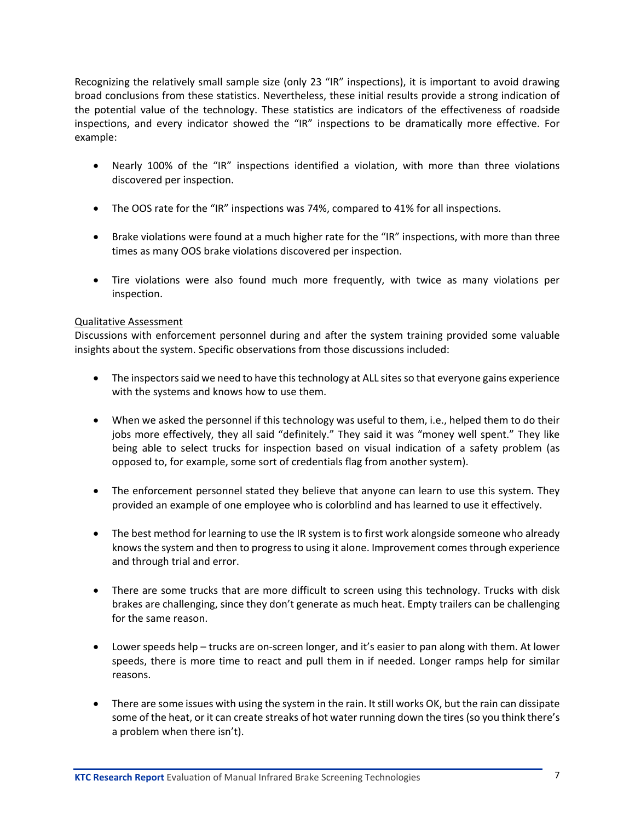Recognizing the relatively small sample size (only 23 "IR" inspections), it is important to avoid drawing broad conclusions from these statistics. Nevertheless, these initial results provide a strong indication of the potential value of the technology. These statistics are indicators of the effectiveness of roadside inspections, and every indicator showed the "IR" inspections to be dramatically more effective. For example:

- Nearly 100% of the "IR" inspections identified a violation, with more than three violations discovered per inspection.
- The OOS rate for the "IR" inspections was 74%, compared to 41% for all inspections.
- Brake violations were found at a much higher rate for the "IR" inspections, with more than three times as many OOS brake violations discovered per inspection.
- Tire violations were also found much more frequently, with twice as many violations per inspection.

### Qualitative Assessment

Discussions with enforcement personnel during and after the system training provided some valuable insights about the system. Specific observations from those discussions included:

- The inspectors said we need to have this technology at ALL sites so that everyone gains experience with the systems and knows how to use them.
- When we asked the personnel if this technology was useful to them, i.e., helped them to do their jobs more effectively, they all said "definitely." They said it was "money well spent." They like being able to select trucks for inspection based on visual indication of a safety problem (as opposed to, for example, some sort of credentials flag from another system).
- The enforcement personnel stated they believe that anyone can learn to use this system. They provided an example of one employee who is colorblind and has learned to use it effectively.
- The best method for learning to use the IR system is to first work alongside someone who already knows the system and then to progress to using it alone. Improvement comes through experience and through trial and error.
- There are some trucks that are more difficult to screen using this technology. Trucks with disk brakes are challenging, since they don't generate as much heat. Empty trailers can be challenging for the same reason.
- Lower speeds help trucks are on-screen longer, and it's easier to pan along with them. At lower speeds, there is more time to react and pull them in if needed. Longer ramps help for similar reasons.
- There are some issues with using the system in the rain. It still works OK, but the rain can dissipate some of the heat, or it can create streaks of hot water running down the tires (so you think there's a problem when there isn't).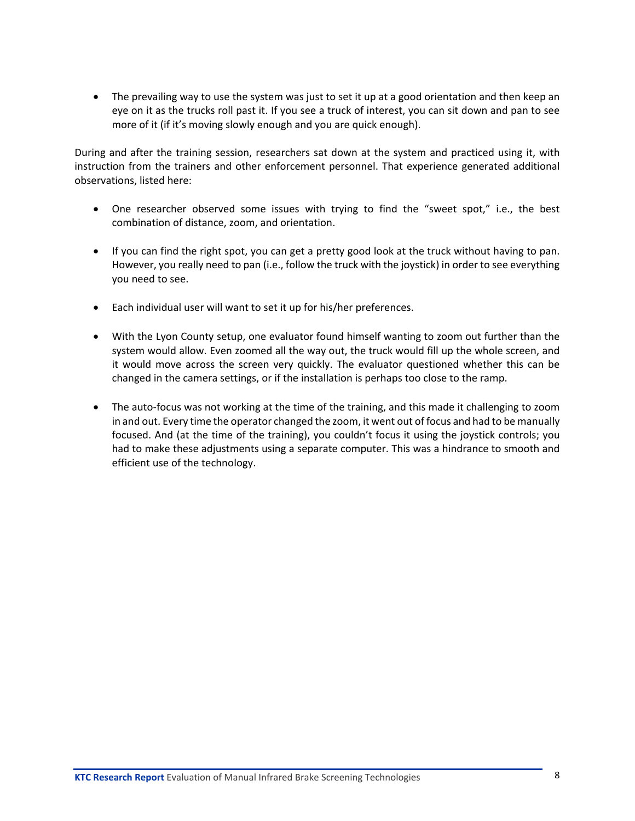• The prevailing way to use the system was just to set it up at a good orientation and then keep an eye on it as the trucks roll past it. If you see a truck of interest, you can sit down and pan to see more of it (if it's moving slowly enough and you are quick enough).

During and after the training session, researchers sat down at the system and practiced using it, with instruction from the trainers and other enforcement personnel. That experience generated additional observations, listed here:

- One researcher observed some issues with trying to find the "sweet spot," i.e., the best combination of distance, zoom, and orientation.
- If you can find the right spot, you can get a pretty good look at the truck without having to pan. However, you really need to pan (i.e., follow the truck with the joystick) in order to see everything you need to see.
- Each individual user will want to set it up for his/her preferences.
- With the Lyon County setup, one evaluator found himself wanting to zoom out further than the system would allow. Even zoomed all the way out, the truck would fill up the whole screen, and it would move across the screen very quickly. The evaluator questioned whether this can be changed in the camera settings, or if the installation is perhaps too close to the ramp.
- The auto-focus was not working at the time of the training, and this made it challenging to zoom in and out. Every time the operator changed the zoom, it went out of focus and had to be manually focused. And (at the time of the training), you couldn't focus it using the joystick controls; you had to make these adjustments using a separate computer. This was a hindrance to smooth and efficient use of the technology.